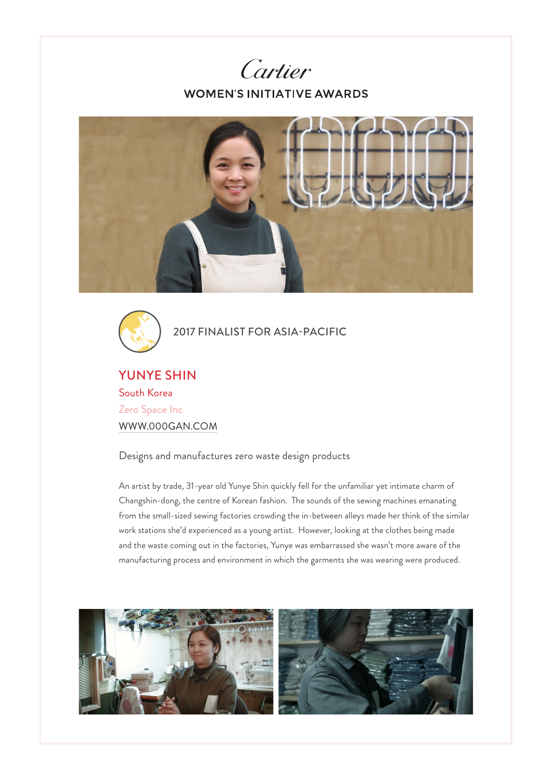





2017 FINALIST FOR ASIA-PACIFIC

YUNYE SHIN South Korea Zero Space Inc WWW.000GAN.COM

Designs and manufactures zero waste design products

An artist by trade, 31-year old Yunye Shin quickly fell for the unfamiliar yet intimate charm of Changshin-dong, the centre of Korean fashion. The sounds of the sewing machines emanating from the small-sized sewing factories crowding the in-between alleys made her think of the similar work stations she'd experienced as a young artist. However, looking at the clothes being made and the waste coming out in the factories, Yunye was embarrassed she wasn't more aware of the manufacturing process and environment in which the garments she was wearing were produced.

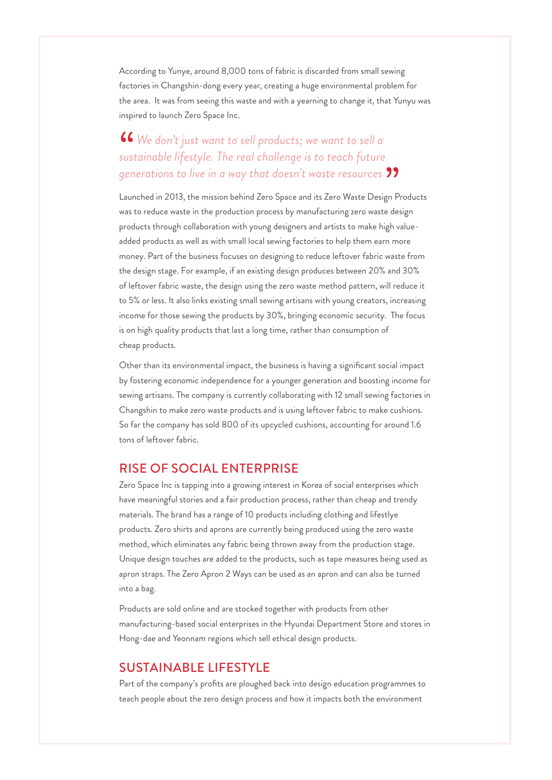According to Yunye, around 8,000 tons of fabric is discarded from small sewing factories in Changshin-dong every year, creating a huge environmental problem for the area. It was from seeing this waste and with a yearning to change it, that Yunyu was inspired to launch Zero Space Inc.

## *We don't just want to sell products; we want to sell a sustainable lifestyle. The real challenge is to teach future generations to live in a way that doesn't waste resources*

Launched in 2013, the mission behind Zero Space and its Zero Waste Design Products was to reduce waste in the production process by manufacturing zero waste design products through collaboration with young designers and artists to make high valueadded products as well as with small local sewing factories to help them earn more money. Part of the business focuses on designing to reduce leftover fabric waste from the design stage. For example, if an existing design produces between 20% and 30% of leftover fabric waste, the design using the zero waste method pattern, will reduce it to 5% or less. It also links existing small sewing artisans with young creators, increasing income for those sewing the products by 30%, bringing economic security. The focus is on high quality products that last a long time, rather than consumption of cheap products.

Other than its environmental impact, the business is having a significant social impact by fostering economic independence for a younger generation and boosting income for sewing artisans. The company is currently collaborating with 12 small sewing factories in Changshin to make zero waste products and is using leftover fabric to make cushions. So far the company has sold 800 of its upcycled cushions, accounting for around 1.6 tons of leftover fabric.

## RISE OF SOCIAL ENTERPRISE

Zero Space Inc is tapping into a growing interest in Korea of social enterprises which have meaningful stories and a fair production process, rather than cheap and trendy materials. The brand has a range of 10 products including clothing and lifestlye products. Zero shirts and aprons are currently being produced using the zero waste method, which eliminates any fabric being thrown away from the production stage. Unique design touches are added to the products, such as tape measures being used as apron straps. The Zero Apron 2 Ways can be used as an apron and can also be turned into a bag.

Products are sold online and are stocked together with products from other manufacturing-based social enterprises in the Hyundai Department Store and stores in Hong-dae and Yeonnam regions which sell ethical design products.

## SUSTAINABLE LIFESTYLE

Part of the company's profits are ploughed back into design education programmes to teach people about the zero design process and how it impacts both the environment